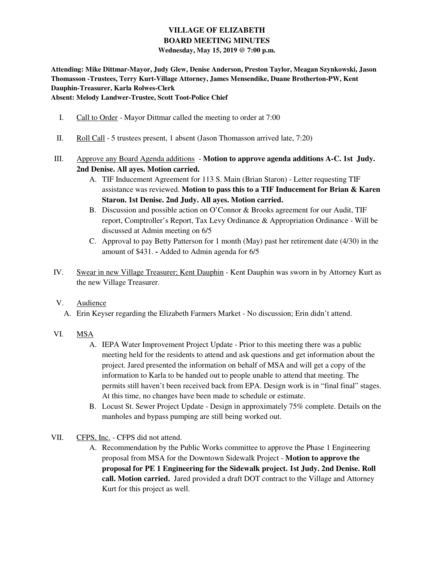## **VILLAGE OF ELIZABETH BOARD MEETING MINUTES Wednesday, May 15, 2019 @ 7:00 p.m.**

**Attending: Mike Dittmar-Mayor, Judy Glew, Denise Anderson, Preston Taylor, Meagan Szynkowski, Jason Thomasson -Trustees, Terry Kurt-Village Attorney, James Mensendike, Duane Brotherton-PW, Kent Dauphin-Treasurer, Karla Rolwes-Clerk** 

**Absent: Melody Landwer-Trustee, Scott Toot-Police Chief** 

- I. Call to Order Mayor Dittmar called the meeting to order at 7:00
- II. Roll Call 5 trustees present, 1 absent (Jason Thomasson arrived late, 7:20)
- III. Approve any Board Agenda additions **Motion to approve agenda additions A-C. 1st Judy. 2nd Denise. All ayes. Motion carried.** 
	- A. TIF Inducement Agreement for 113 S. Main (Brian Staron) Letter requesting TIF assistance was reviewed. **Motion to pass this to a TIF Inducement for Brian & Karen Staron. 1st Denise. 2nd Judy. All ayes. Motion carried.**
	- B. Discussion and possible action on O'Connor & Brooks agreement for our Audit, TIF report, Comptroller's Report, Tax Levy Ordinance & Appropriation Ordinance - Will be discussed at Admin meeting on 6/5
	- C. Approval to pay Betty Patterson for 1 month (May) past her retirement date (4/30) in the amount of \$431. **-** Added to Admin agenda for 6/5
- IV. Swear in new Village Treasurer; Kent Dauphin Kent Dauphin was sworn in by Attorney Kurt as the new Village Treasurer.

## V. Audience

- A. Erin Keyser regarding the Elizabeth Farmers Market No discussion; Erin didn't attend.
- VI. MSA
	- A. IEPA Water Improvement Project Update Prior to this meeting there was a public meeting held for the residents to attend and ask questions and get information about the project. Jared presented the information on behalf of MSA and will get a copy of the information to Karla to be handed out to people unable to attend that meeting. The permits still haven't been received back from EPA. Design work is in "final final" stages. At this time, no changes have been made to schedule or estimate.
	- B. Locust St. Sewer Project Update Design in approximately 75% complete. Details on the manholes and bypass pumping are still being worked out.
- VII. CFPS, Inc. CFPS did not attend.
	- A. Recommendation by the Public Works committee to approve the Phase 1 Engineering proposal from MSA for the Downtown Sidewalk Project - **Motion to approve the proposal for PE 1 Engineering for the Sidewalk project. 1st Judy. 2nd Denise. Roll call. Motion carried.** Jared provided a draft DOT contract to the Village and Attorney Kurt for this project as well.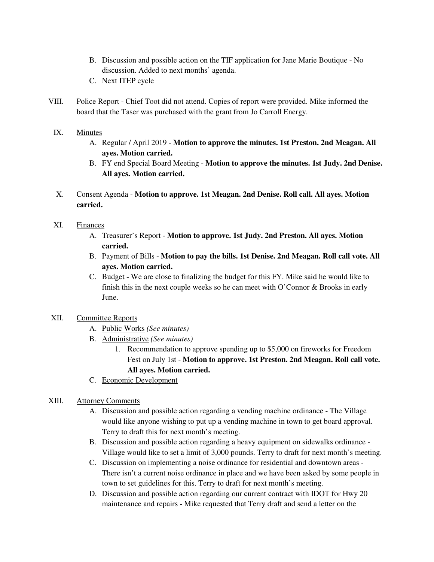- B. Discussion and possible action on the TIF application for Jane Marie Boutique No discussion. Added to next months' agenda.
- C. Next ITEP cycle
- VIII. Police Report Chief Toot did not attend. Copies of report were provided. Mike informed the board that the Taser was purchased with the grant from Jo Carroll Energy.

#### IX. Minutes

- A. Regular / April 2019 **Motion to approve the minutes. 1st Preston. 2nd Meagan. All ayes. Motion carried.**
- B. FY end Special Board Meeting **Motion to approve the minutes. 1st Judy. 2nd Denise. All ayes. Motion carried.**
- X. Consent Agenda **Motion to approve. 1st Meagan. 2nd Denise. Roll call. All ayes. Motion carried.**

#### XI. Finances

- A. Treasurer's Report **Motion to approve. 1st Judy. 2nd Preston. All ayes. Motion carried.**
- B. Payment of Bills **Motion to pay the bills. 1st Denise. 2nd Meagan. Roll call vote. All ayes. Motion carried.**
- C. Budget We are close to finalizing the budget for this FY. Mike said he would like to finish this in the next couple weeks so he can meet with O'Connor & Brooks in early June.

## XII. Committee Reports

- A. Public Works *(See minutes)*
- B. Administrative *(See minutes)*
	- 1. Recommendation to approve spending up to \$5,000 on fireworks for Freedom Fest on July 1st - **Motion to approve. 1st Preston. 2nd Meagan. Roll call vote. All ayes. Motion carried.**
- C. Economic Development

## XIII. Attorney Comments

- A. Discussion and possible action regarding a vending machine ordinance The Village would like anyone wishing to put up a vending machine in town to get board approval. Terry to draft this for next month's meeting.
- B. Discussion and possible action regarding a heavy equipment on sidewalks ordinance Village would like to set a limit of 3,000 pounds. Terry to draft for next month's meeting.
- C. Discussion on implementing a noise ordinance for residential and downtown areas There isn't a current noise ordinance in place and we have been asked by some people in town to set guidelines for this. Terry to draft for next month's meeting.
- D. Discussion and possible action regarding our current contract with IDOT for Hwy 20 maintenance and repairs - Mike requested that Terry draft and send a letter on the